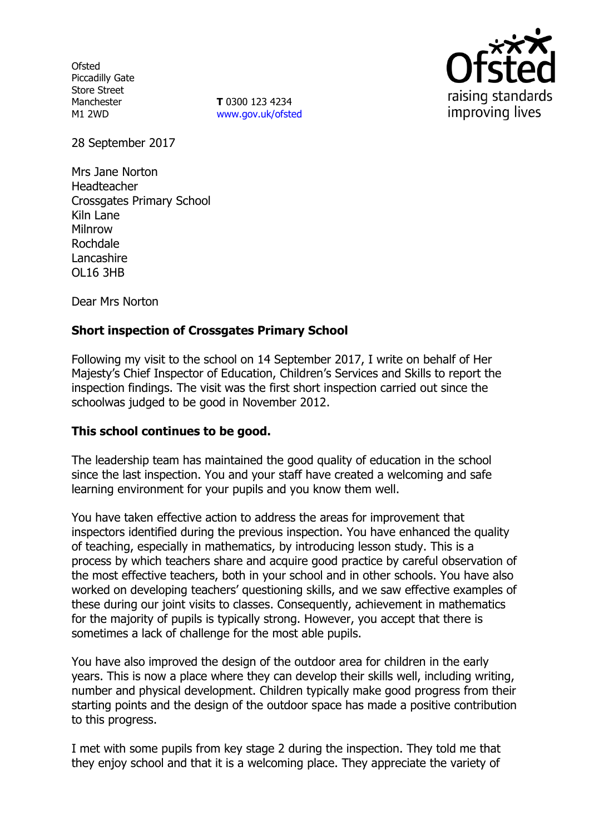**Ofsted** Piccadilly Gate Store Street Manchester M1 2WD

**T** 0300 123 4234 www.gov.uk/ofsted



28 September 2017

Mrs Jane Norton Headteacher Crossgates Primary School Kiln Lane Milnrow Rochdale **Lancashire** OL16 3HB

Dear Mrs Norton

## **Short inspection of Crossgates Primary School**

Following my visit to the school on 14 September 2017, I write on behalf of Her Majesty's Chief Inspector of Education, Children's Services and Skills to report the inspection findings. The visit was the first short inspection carried out since the schoolwas judged to be good in November 2012.

## **This school continues to be good.**

The leadership team has maintained the good quality of education in the school since the last inspection. You and your staff have created a welcoming and safe learning environment for your pupils and you know them well.

You have taken effective action to address the areas for improvement that inspectors identified during the previous inspection. You have enhanced the quality of teaching, especially in mathematics, by introducing lesson study. This is a process by which teachers share and acquire good practice by careful observation of the most effective teachers, both in your school and in other schools. You have also worked on developing teachers' questioning skills, and we saw effective examples of these during our joint visits to classes. Consequently, achievement in mathematics for the majority of pupils is typically strong. However, you accept that there is sometimes a lack of challenge for the most able pupils.

You have also improved the design of the outdoor area for children in the early years. This is now a place where they can develop their skills well, including writing, number and physical development. Children typically make good progress from their starting points and the design of the outdoor space has made a positive contribution to this progress.

I met with some pupils from key stage 2 during the inspection. They told me that they enjoy school and that it is a welcoming place. They appreciate the variety of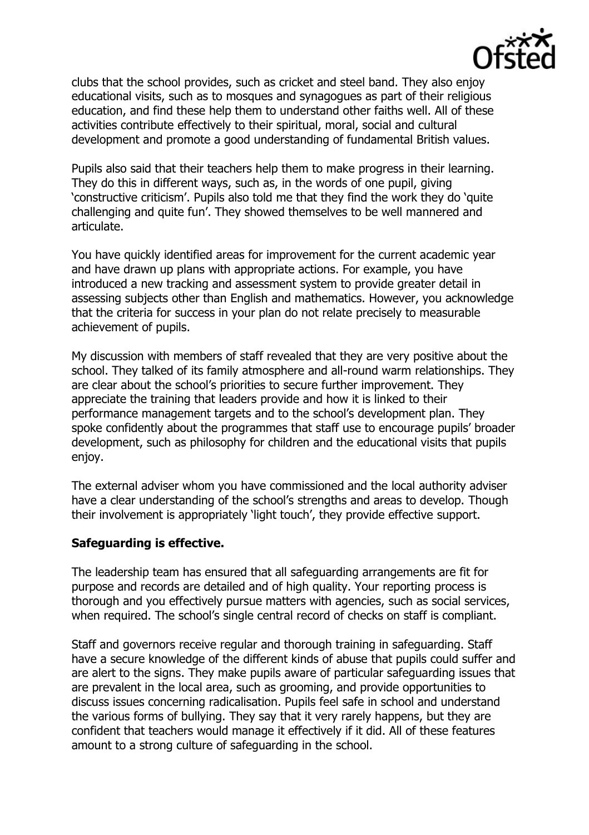

clubs that the school provides, such as cricket and steel band. They also enjoy educational visits, such as to mosques and synagogues as part of their religious education, and find these help them to understand other faiths well. All of these activities contribute effectively to their spiritual, moral, social and cultural development and promote a good understanding of fundamental British values.

Pupils also said that their teachers help them to make progress in their learning. They do this in different ways, such as, in the words of one pupil, giving 'constructive criticism'. Pupils also told me that they find the work they do 'quite challenging and quite fun'. They showed themselves to be well mannered and articulate.

You have quickly identified areas for improvement for the current academic year and have drawn up plans with appropriate actions. For example, you have introduced a new tracking and assessment system to provide greater detail in assessing subjects other than English and mathematics. However, you acknowledge that the criteria for success in your plan do not relate precisely to measurable achievement of pupils.

My discussion with members of staff revealed that they are very positive about the school. They talked of its family atmosphere and all-round warm relationships. They are clear about the school's priorities to secure further improvement. They appreciate the training that leaders provide and how it is linked to their performance management targets and to the school's development plan. They spoke confidently about the programmes that staff use to encourage pupils' broader development, such as philosophy for children and the educational visits that pupils enjoy.

The external adviser whom you have commissioned and the local authority adviser have a clear understanding of the school's strengths and areas to develop. Though their involvement is appropriately 'light touch', they provide effective support.

## **Safeguarding is effective.**

The leadership team has ensured that all safeguarding arrangements are fit for purpose and records are detailed and of high quality. Your reporting process is thorough and you effectively pursue matters with agencies, such as social services, when required. The school's single central record of checks on staff is compliant.

Staff and governors receive regular and thorough training in safeguarding. Staff have a secure knowledge of the different kinds of abuse that pupils could suffer and are alert to the signs. They make pupils aware of particular safeguarding issues that are prevalent in the local area, such as grooming, and provide opportunities to discuss issues concerning radicalisation. Pupils feel safe in school and understand the various forms of bullying. They say that it very rarely happens, but they are confident that teachers would manage it effectively if it did. All of these features amount to a strong culture of safeguarding in the school.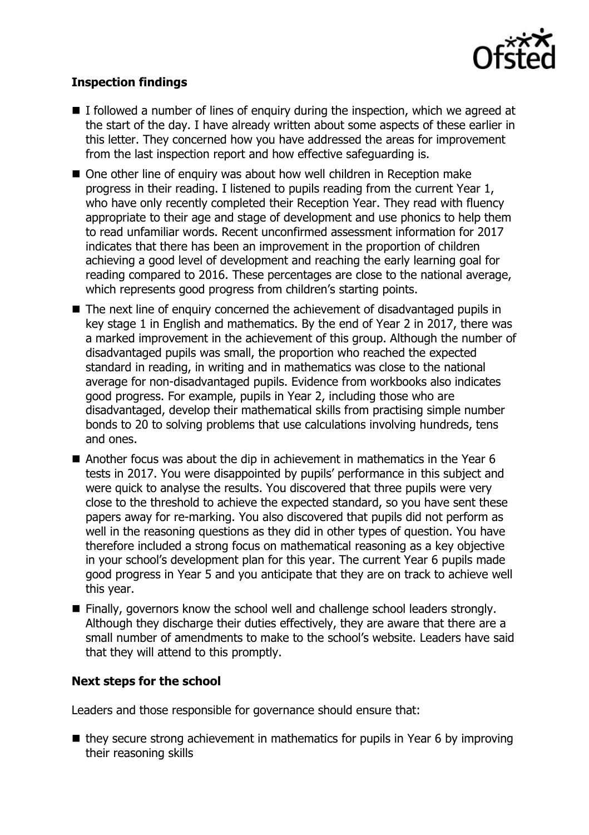

# **Inspection findings**

- $\blacksquare$  I followed a number of lines of enquiry during the inspection, which we agreed at the start of the day. I have already written about some aspects of these earlier in this letter. They concerned how you have addressed the areas for improvement from the last inspection report and how effective safeguarding is.
- One other line of enquiry was about how well children in Reception make progress in their reading. I listened to pupils reading from the current Year 1, who have only recently completed their Reception Year. They read with fluency appropriate to their age and stage of development and use phonics to help them to read unfamiliar words. Recent unconfirmed assessment information for 2017 indicates that there has been an improvement in the proportion of children achieving a good level of development and reaching the early learning goal for reading compared to 2016. These percentages are close to the national average, which represents good progress from children's starting points.
- The next line of enquiry concerned the achievement of disadvantaged pupils in key stage 1 in English and mathematics. By the end of Year 2 in 2017, there was a marked improvement in the achievement of this group. Although the number of disadvantaged pupils was small, the proportion who reached the expected standard in reading, in writing and in mathematics was close to the national average for non-disadvantaged pupils. Evidence from workbooks also indicates good progress. For example, pupils in Year 2, including those who are disadvantaged, develop their mathematical skills from practising simple number bonds to 20 to solving problems that use calculations involving hundreds, tens and ones.
- Another focus was about the dip in achievement in mathematics in the Year 6 tests in 2017. You were disappointed by pupils' performance in this subject and were quick to analyse the results. You discovered that three pupils were very close to the threshold to achieve the expected standard, so you have sent these papers away for re-marking. You also discovered that pupils did not perform as well in the reasoning questions as they did in other types of question. You have therefore included a strong focus on mathematical reasoning as a key objective in your school's development plan for this year. The current Year 6 pupils made good progress in Year 5 and you anticipate that they are on track to achieve well this year.
- Finally, governors know the school well and challenge school leaders strongly. Although they discharge their duties effectively, they are aware that there are a small number of amendments to make to the school's website. Leaders have said that they will attend to this promptly.

## **Next steps for the school**

Leaders and those responsible for governance should ensure that:

 $\blacksquare$  they secure strong achievement in mathematics for pupils in Year 6 by improving their reasoning skills